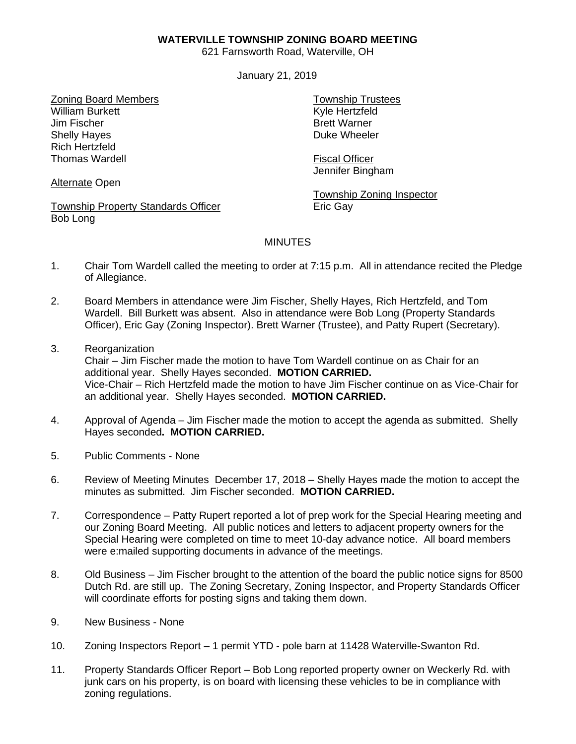## **WATERVILLE TOWNSHIP ZONING BOARD MEETING**

621 Farnsworth Road, Waterville, OH

January 21, 2019

Zoning Board Members William Burkett Jim Fischer Shelly Hayes Rich Hertzfeld Thomas Wardell

Township Trustees Kyle Hertzfeld Brett Warner Duke Wheeler

Fiscal Officer Jennifer Bingham

Township Zoning Inspector Eric Gay

## **MINUTES**

- 1. Chair Tom Wardell called the meeting to order at 7:15 p.m. All in attendance recited the Pledge of Allegiance.
- 2. Board Members in attendance were Jim Fischer, Shelly Hayes, Rich Hertzfeld, and Tom Wardell. Bill Burkett was absent. Also in attendance were Bob Long (Property Standards Officer), Eric Gay (Zoning Inspector). Brett Warner (Trustee), and Patty Rupert (Secretary).
- 3. Reorganization Chair – Jim Fischer made the motion to have Tom Wardell continue on as Chair for an additional year. Shelly Hayes seconded. **MOTION CARRIED.** Vice-Chair – Rich Hertzfeld made the motion to have Jim Fischer continue on as Vice-Chair for an additional year. Shelly Hayes seconded. **MOTION CARRIED.**
- 4. Approval of Agenda Jim Fischer made the motion to accept the agenda as submitted. Shelly Hayes seconded**. MOTION CARRIED.**
- 5. Public Comments None
- 6. Review of Meeting Minutes December 17, 2018 Shelly Hayes made the motion to accept the minutes as submitted. Jim Fischer seconded. **MOTION CARRIED.**
- 7. Correspondence Patty Rupert reported a lot of prep work for the Special Hearing meeting and our Zoning Board Meeting. All public notices and letters to adjacent property owners for the Special Hearing were completed on time to meet 10-day advance notice. All board members were e:mailed supporting documents in advance of the meetings.
- 8. Old Business Jim Fischer brought to the attention of the board the public notice signs for 8500 Dutch Rd. are still up. The Zoning Secretary, Zoning Inspector, and Property Standards Officer will coordinate efforts for posting signs and taking them down.
- 9. New Business None
- 10. Zoning Inspectors Report 1 permit YTD pole barn at 11428 Waterville-Swanton Rd.
- 11. Property Standards Officer Report Bob Long reported property owner on Weckerly Rd. with junk cars on his property, is on board with licensing these vehicles to be in compliance with zoning regulations.

Alternate Open

Township Property Standards Officer Bob Long